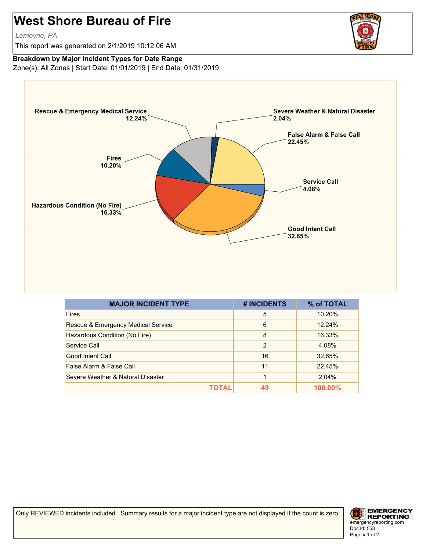## **West Shore Bureau of Fire**

*Lemoyne, PA*

This report was generated on 2/1/2019 10:12:06 AM

## **Breakdown by Major Incident Types for Date Range**

Zone(s): All Zones | Start Date: 01/01/2019 | End Date: 01/31/2019



| <b>MAJOR INCIDENT TYPE</b>         | # INCIDENTS | % of TOTAL |
|------------------------------------|-------------|------------|
| <b>Fires</b>                       | 5           | 10.20%     |
| Rescue & Emergency Medical Service | 6           | 12.24%     |
| Hazardous Condition (No Fire)      | 8           | 16.33%     |
| Service Call                       | 2           | 4.08%      |
| Good Intent Call                   | 16          | 32.65%     |
| False Alarm & False Call           | 11          | 22.45%     |
| Severe Weather & Natural Disaster  |             | 2.04%      |
| ΤΩΤΔΙ                              | 49          | $100.00\%$ |

Only REVIEWED incidents included. Summary results for a major incident type are not displayed if the count is zero.